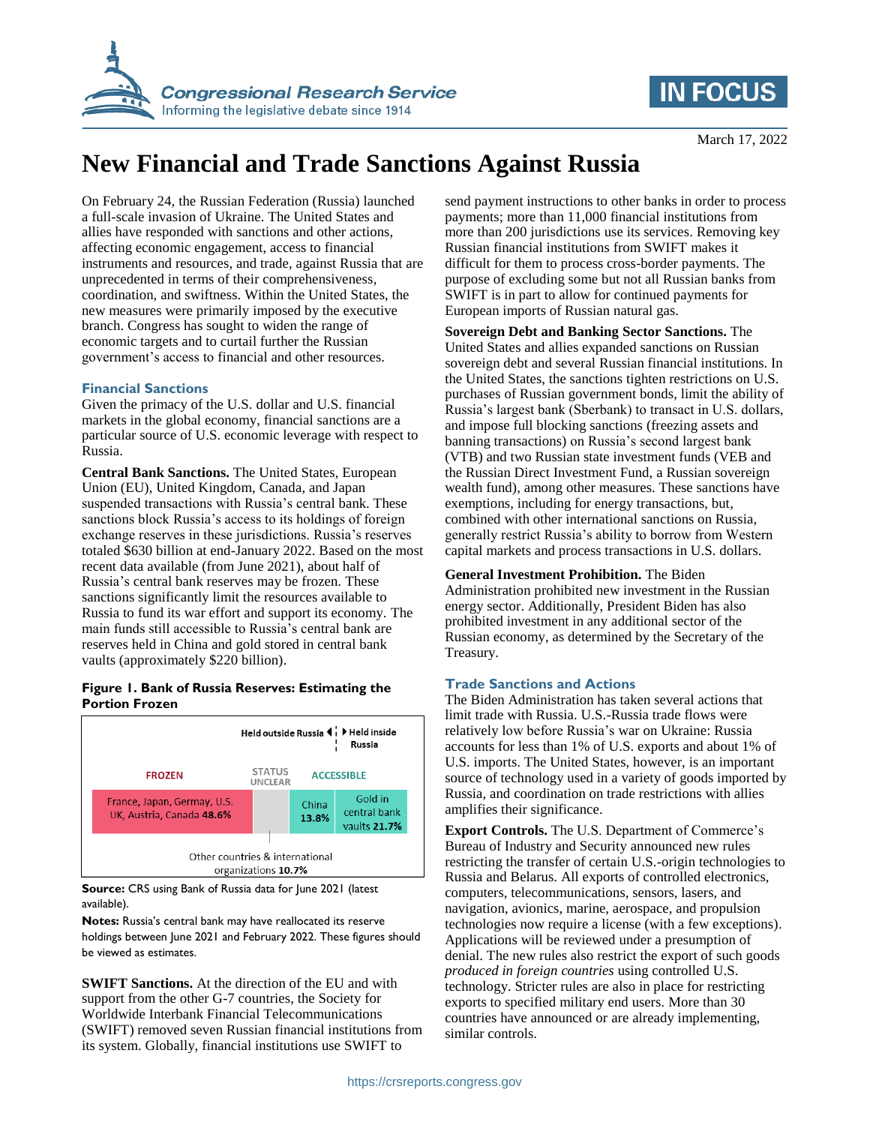

# **IN FOCUS**

# **New Financial and Trade Sanctions Against Russia**

On February 24, the Russian Federation (Russia) launched a full-scale invasion of Ukraine. The United States and allies have responded with sanctions and other actions, affecting economic engagement, access to financial instruments and resources, and trade, against Russia that are unprecedented in terms of their comprehensiveness, coordination, and swiftness. Within the United States, the new measures were primarily imposed by the executive branch. Congress has sought to widen the range of economic targets and to curtail further the Russian government's access to financial and other resources.

## **Financial Sanctions**

Given the primacy of the U.S. dollar and U.S. financial markets in the global economy, financial sanctions are a particular source of U.S. economic leverage with respect to Russia.

**Central Bank Sanctions.** The United States, European Union (EU), United Kingdom, Canada, and Japan suspended transactions with Russia's central bank. These sanctions block Russia's access to its holdings of foreign exchange reserves in these jurisdictions. Russia's reserves totaled \$630 billion at end-January 2022. Based on the most recent data available (from June 2021), about half of Russia's central bank reserves may be frozen. These sanctions significantly limit the resources available to Russia to fund its war effort and support its economy. The main funds still accessible to Russia's central bank are reserves held in China and gold stored in central bank vaults (approximately \$220 billion).

## **Figure 1. Bank of Russia Reserves: Estimating the Portion Frozen**



**Source:** CRS using Bank of Russia data for June 2021 (latest available).

**Notes:** Russia's central bank may have reallocated its reserve holdings between June 2021 and February 2022. These figures should be viewed as estimates.

**SWIFT Sanctions.** At the direction of the EU and with support from the other G-7 countries, the Society for Worldwide Interbank Financial Telecommunications (SWIFT) removed seven Russian financial institutions from its system. Globally, financial institutions use SWIFT to

send payment instructions to other banks in order to process payments; more than 11,000 financial institutions from more than 200 jurisdictions use its services. Removing key Russian financial institutions from SWIFT makes it difficult for them to process cross-border payments. The purpose of excluding some but not all Russian banks from SWIFT is in part to allow for continued payments for European imports of Russian natural gas.

**Sovereign Debt and Banking Sector Sanctions.** The United States and allies expanded sanctions on Russian sovereign debt and several Russian financial institutions. In the United States, the sanctions tighten restrictions on U.S. purchases of Russian government bonds, limit the ability of Russia's largest bank (Sberbank) to transact in U.S. dollars, and impose full blocking sanctions (freezing assets and banning transactions) on Russia's second largest bank (VTB) and two Russian state investment funds (VEB and the Russian Direct Investment Fund, a Russian sovereign wealth fund), among other measures. These sanctions have exemptions, including for energy transactions, but, combined with other international sanctions on Russia, generally restrict Russia's ability to borrow from Western capital markets and process transactions in U.S. dollars.

**General Investment Prohibition.** The Biden Administration prohibited new investment in the Russian energy sector. Additionally, President Biden has also prohibited investment in any additional sector of the Russian economy, as determined by the Secretary of the Treasury.

# **Trade Sanctions and Actions**

The Biden Administration has taken several actions that limit trade with Russia. U.S.-Russia trade flows were relatively low before Russia's war on Ukraine: Russia accounts for less than 1% of U.S. exports and about 1% of U.S. imports. The United States, however, is an important source of technology used in a variety of goods imported by Russia, and coordination on trade restrictions with allies amplifies their significance.

**Export Controls.** The U.S. Department of Commerce's Bureau of Industry and Security announced new rules restricting the transfer of certain U.S.-origin technologies to Russia and Belarus. All exports of controlled electronics, computers, telecommunications, sensors, lasers, and navigation, avionics, marine, aerospace, and propulsion technologies now require a license (with a few exceptions). Applications will be reviewed under a presumption of denial. The new rules also restrict the export of such goods *produced in foreign countries* using controlled U.S. technology. Stricter rules are also in place for restricting exports to specified military end users. More than 30 countries have announced or are already implementing, similar controls.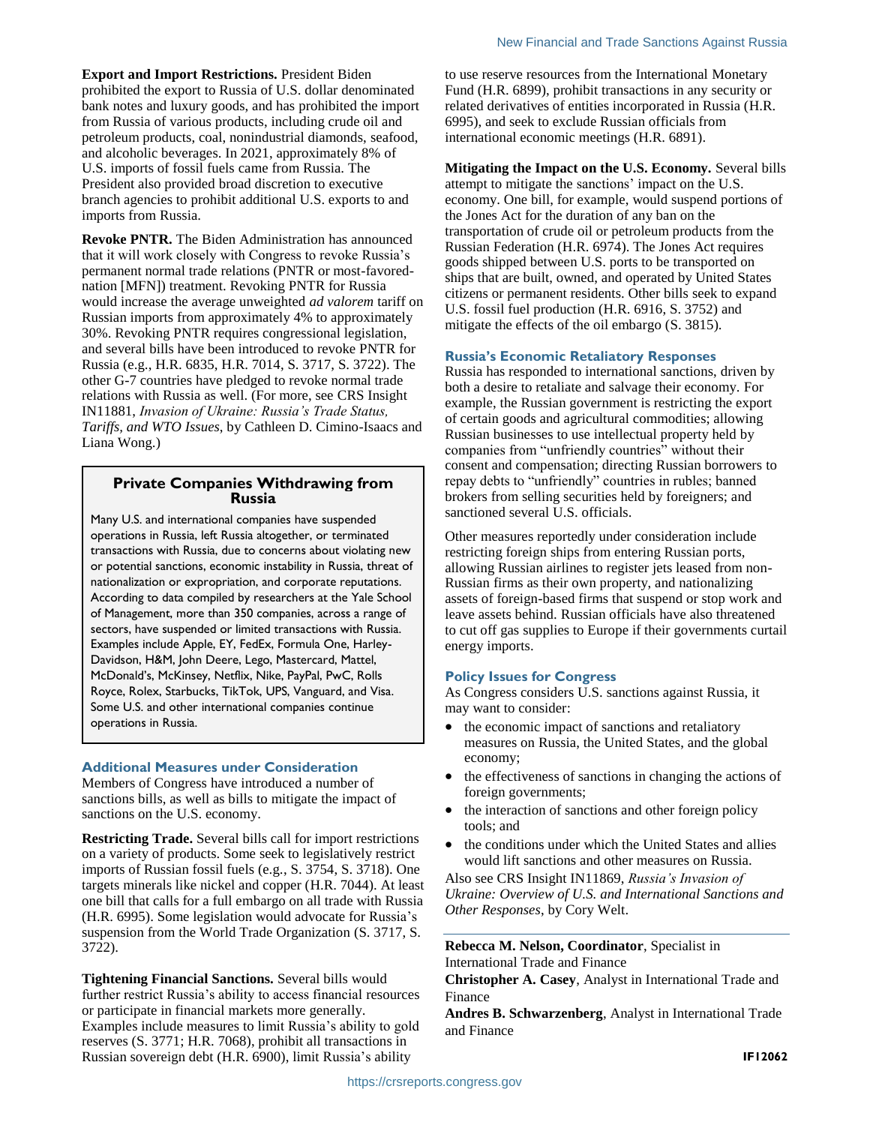**Export and Import Restrictions.** President Biden prohibited the export to Russia of U.S. dollar denominated bank notes and luxury goods, and has prohibited the import from Russia of various products, including crude oil and petroleum products, coal, nonindustrial diamonds, seafood, and alcoholic beverages. In 2021, approximately 8% of U.S. imports of fossil fuels came from Russia. The President also provided broad discretion to executive branch agencies to prohibit additional U.S. exports to and imports from Russia.

**Revoke PNTR.** The Biden Administration has announced that it will work closely with Congress to revoke Russia's permanent normal trade relations (PNTR or most-favorednation [MFN]) treatment. Revoking PNTR for Russia would increase the average unweighted *ad valorem* tariff on Russian imports from approximately 4% to approximately 30%. Revoking PNTR requires congressional legislation, and several bills have been introduced to revoke PNTR for Russia (e.g., H.R. 6835, H.R. 7014, S. 3717, S. 3722). The other G-7 countries have pledged to revoke normal trade relations with Russia as well. (For more, see CRS Insight IN11881, *Invasion of Ukraine: Russia's Trade Status, Tariffs, and WTO Issues*, by Cathleen D. Cimino-Isaacs and Liana Wong.)

# **Private Companies Withdrawing from Russia**

Many U.S. and international companies have suspended operations in Russia, left Russia altogether, or terminated transactions with Russia, due to concerns about violating new or potential sanctions, economic instability in Russia, threat of nationalization or expropriation, and corporate reputations. According to data compiled by researchers at the Yale School of Management, more than 350 companies, across a range of sectors, have suspended or limited transactions with Russia. Examples include Apple, EY, FedEx, Formula One, Harley-Davidson, H&M, John Deere, Lego, Mastercard, Mattel, McDonald's, McKinsey, Netflix, Nike, PayPal, PwC, Rolls Royce, Rolex, Starbucks, TikTok, UPS, Vanguard, and Visa. Some U.S. and other international companies continue operations in Russia.

### **Additional Measures under Consideration**

Members of Congress have introduced a number of sanctions bills, as well as bills to mitigate the impact of sanctions on the U.S. economy.

**Restricting Trade.** Several bills call for import restrictions on a variety of products. Some seek to legislatively restrict imports of Russian fossil fuels (e.g., S. 3754, S. 3718). One targets minerals like nickel and copper (H.R. 7044). At least one bill that calls for a full embargo on all trade with Russia (H.R. 6995). Some legislation would advocate for Russia's suspension from the World Trade Organization (S. 3717, S. 3722).

**Tightening Financial Sanctions.** Several bills would further restrict Russia's ability to access financial resources or participate in financial markets more generally. Examples include measures to limit Russia's ability to gold reserves (S. 3771; H.R. 7068), prohibit all transactions in Russian sovereign debt (H.R. 6900), limit Russia's ability

to use reserve resources from the International Monetary Fund (H.R. 6899), prohibit transactions in any security or related derivatives of entities incorporated in Russia (H.R. 6995), and seek to exclude Russian officials from international economic meetings (H.R. 6891).

**Mitigating the Impact on the U.S. Economy.** Several bills attempt to mitigate the sanctions' impact on the U.S. economy. One bill, for example, would suspend portions of the Jones Act for the duration of any ban on the transportation of crude oil or petroleum products from the Russian Federation (H.R. 6974). The Jones Act requires goods shipped between U.S. ports to be transported on ships that are built, owned, and operated by United States citizens or permanent residents. Other bills seek to expand U.S. fossil fuel production (H.R. 6916, S. 3752) and mitigate the effects of the oil embargo (S. 3815).

### **Russia's Economic Retaliatory Responses**

Russia has responded to international sanctions, driven by both a desire to retaliate and salvage their economy. For example, the Russian government is restricting the export of certain goods and agricultural commodities; allowing Russian businesses to use intellectual property held by companies from "unfriendly countries" without their consent and compensation; directing Russian borrowers to repay debts to "unfriendly" countries in rubles; banned brokers from selling securities held by foreigners; and sanctioned several U.S. officials.

Other measures reportedly under consideration include restricting foreign ships from entering Russian ports, allowing Russian airlines to register jets leased from non-Russian firms as their own property, and nationalizing assets of foreign-based firms that suspend or stop work and leave assets behind. Russian officials have also threatened to cut off gas supplies to Europe if their governments curtail energy imports.

### **Policy Issues for Congress**

As Congress considers U.S. sanctions against Russia, it may want to consider:

- the economic impact of sanctions and retaliatory measures on Russia, the United States, and the global economy;
- the effectiveness of sanctions in changing the actions of foreign governments;
- the interaction of sanctions and other foreign policy tools; and
- the conditions under which the United States and allies would lift sanctions and other measures on Russia.

Also see CRS Insight IN11869, *Russia's Invasion of Ukraine: Overview of U.S. and International Sanctions and Other Responses*, by Cory Welt.

**Rebecca M. Nelson, Coordinator**, Specialist in International Trade and Finance

**Christopher A. Casey**, Analyst in International Trade and Finance

**Andres B. Schwarzenberg**, Analyst in International Trade and Finance